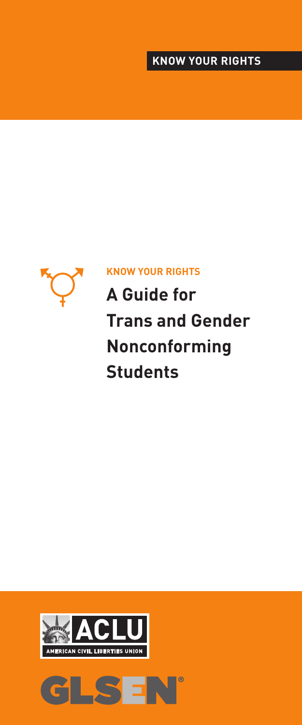## **KNOW YOUR RIGHTS**



### **KNOW YOUR RIGHTS**

**A Guide for Trans and Gender Nonconforming Students**



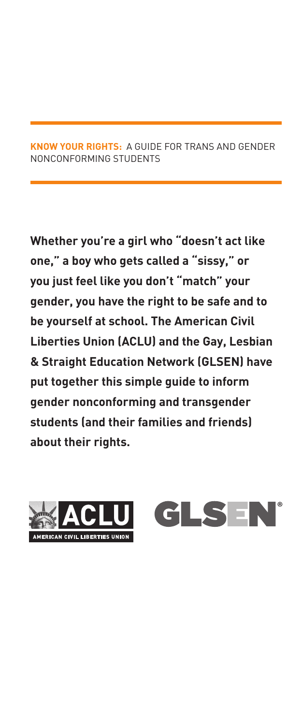#### **KNOW YOUR RIGHTS:** A GUIDE FOR TRANS AND GENDER NONCONFORMING STUDENTS

**Whether you're a girl who "doesn't act like one," a boy who gets called a "sissy," or you just feel like you don't "match" your gender, you have the right to be safe and to be yourself at school. The American Civil Liberties Union (ACLU) and the Gay, Lesbian & Straight Education Network (GLSEN) have put together this simple guide to inform gender nonconforming and transgender students (and their families and friends) about their rights.** 



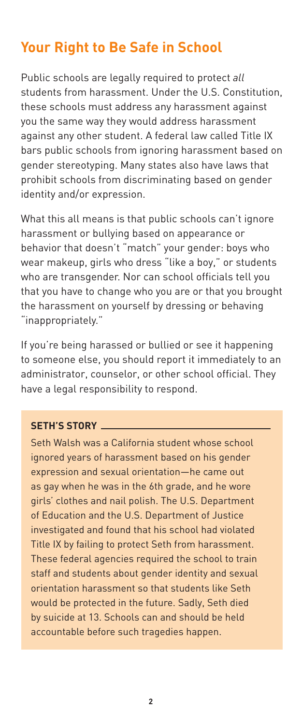# **Your Right to Be Safe in School**

Public schools are legally required to protect *all* students from harassment. Under the U.S. Constitution, these schools must address any harassment against you the same way they would address harassment against any other student. A federal law called Title IX bars public schools from ignoring harassment based on gender stereotyping. Many states also have laws that prohibit schools from discriminating based on gender identity and/or expression.

What this all means is that public schools can't ignore harassment or bullying based on appearance or behavior that doesn't "match" your gender: boys who wear makeup, girls who dress "like a boy," or students who are transgender. Nor can school officials tell you that you have to change who you are or that you brought the harassment on yourself by dressing or behaving "inappropriately."

If you're being harassed or bullied or see it happening to someone else, you should report it immediately to an administrator, counselor, or other school official. They have a legal responsibility to respond.

### **SETH'S STORY**

Seth Walsh was a California student whose school ignored years of harassment based on his gender expression and sexual orientation—he came out as gay when he was in the 6th grade, and he wore girls' clothes and nail polish. The U.S. Department of Education and the U.S. Department of Justice investigated and found that his school had violated Title IX by failing to protect Seth from harassment. These federal agencies required the school to train staff and students about gender identity and sexual orientation harassment so that students like Seth would be protected in the future. Sadly, Seth died by suicide at 13. Schools can and should be held accountable before such tragedies happen.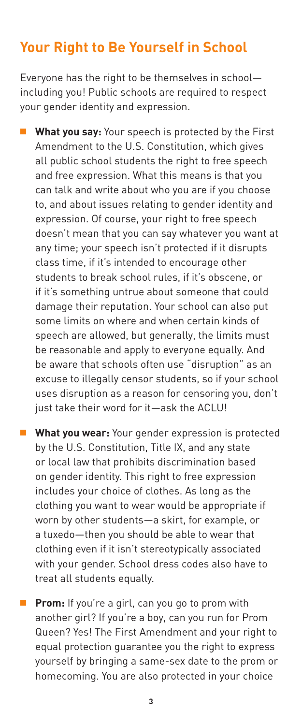## **Your Right to Be Yourself in School**

Everyone has the right to be themselves in school including you! Public schools are required to respect your gender identity and expression.

 **What you say:** Your speech is protected by the First Amendment to the U.S. Constitution, which gives all public school students the right to free speech and free expression. What this means is that you can talk and write about who you are if you choose to, and about issues relating to gender identity and expression. Of course, your right to free speech doesn't mean that you can say whatever you want at any time; your speech isn't protected if it disrupts class time, if it's intended to encourage other students to break school rules, if it's obscene, or if it's something untrue about someone that could damage their reputation. Your school can also put some limits on where and when certain kinds of speech are allowed, but generally, the limits must be reasonable and apply to everyone equally. And be aware that schools often use "disruption" as an excuse to illegally censor students, so if your school uses disruption as a reason for censoring you, don't just take their word for it—ask the ACLU!

**What you wear:** Your gender expression is protected by the U.S. Constitution, Title IX, and any state or local law that prohibits discrimination based on gender identity. This right to free expression includes your choice of clothes. As long as the clothing you want to wear would be appropriate if worn by other students—a skirt, for example, or a tuxedo—then you should be able to wear that clothing even if it isn't stereotypically associated with your gender. School dress codes also have to treat all students equally.

 **Prom:** If you're a girl, can you go to prom with another girl? If you're a boy, can you run for Prom Queen? Yes! The First Amendment and your right to equal protection guarantee you the right to express yourself by bringing a same-sex date to the prom or homecoming. You are also protected in your choice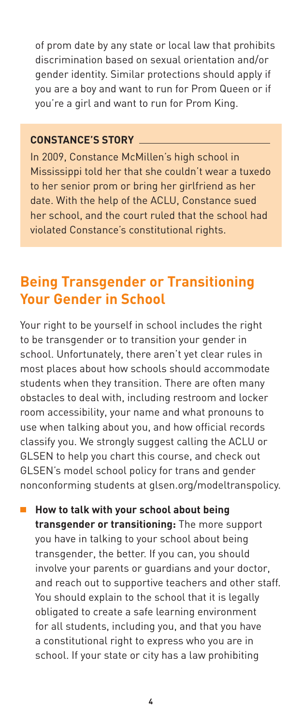of prom date by any state or local law that prohibits discrimination based on sexual orientation and/or gender identity. Similar protections should apply if you are a boy and want to run for Prom Queen or if you're a girl and want to run for Prom King.

#### **CONSTANCE'S STORY**

In 2009, Constance McMillen's high school in Mississippi told her that she couldn't wear a tuxedo to her senior prom or bring her girlfriend as her date. With the help of the ACLU, Constance sued her school, and the court ruled that the school had violated Constance's constitutional rights.

# **Being Transgender or Transitioning Your Gender in School**

Your right to be yourself in school includes the right to be transgender or to transition your gender in school. Unfortunately, there aren't yet clear rules in most places about how schools should accommodate students when they transition. There are often many obstacles to deal with, including restroom and locker room accessibility, your name and what pronouns to use when talking about you, and how official records classify you. We strongly suggest calling the ACLU or GLSEN to help you chart this course, and check out GLSEN's model school policy for trans and gender nonconforming students at glsen.org/modeltranspolicy.

**E** How to talk with your school about being **transgender or transitioning:** The more support you have in talking to your school about being transgender, the better. If you can, you should involve your parents or guardians and your doctor, and reach out to supportive teachers and other staff. You should explain to the school that it is legally obligated to create a safe learning environment for all students, including you, and that you have a constitutional right to express who you are in school. If your state or city has a law prohibiting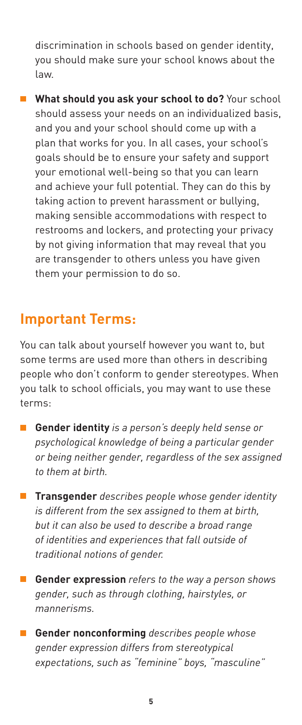discrimination in schools based on gender identity, you should make sure your school knows about the law.

 **What should you ask your school to do?** Your school should assess your needs on an individualized basis, and you and your school should come up with a plan that works for you. In all cases, your school's goals should be to ensure your safety and support your emotional well-being so that you can learn and achieve your full potential. They can do this by taking action to prevent harassment or bullying, making sensible accommodations with respect to restrooms and lockers, and protecting your privacy by not giving information that may reveal that you are transgender to others unless you have given them your permission to do so.

## **Important Terms:**

You can talk about yourself however you want to, but some terms are used more than others in describing people who don't conform to gender stereotypes. When you talk to school officials, you may want to use these terms:

- **Gender identity** *is a person's deeply held sense or psychological knowledge of being a particular gender or being neither gender, regardless of the sex assigned to them at birth.*
- **Transgender** *describes people whose gender identity is different from the sex assigned to them at birth, but it can also be used to describe a broad range of identities and experiences that fall outside of traditional notions of gender.*
- **Gender expression** *refers to the way a person shows gender, such as through clothing, hairstyles, or mannerisms.*
- **Gender nonconforming** *describes people whose gender expression differs from stereotypical expectations, such as "feminine" boys, "masculine"*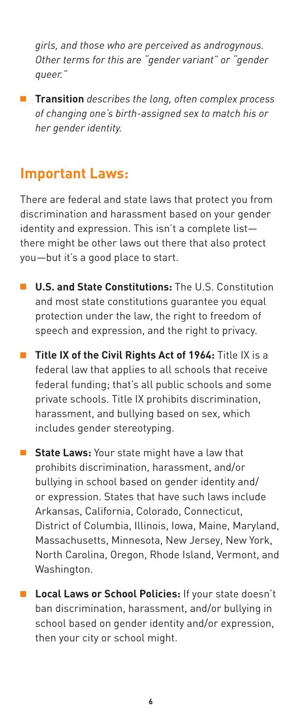*girls, and those who are perceived as androgynous. Other terms for this are "gender variant" or "gender queer."*

 **Transition** *describes the long, often complex process of changing one's birth-assigned sex to match his or her gender identity.*

## **Important Laws:**

There are federal and state laws that protect you from discrimination and harassment based on your gender identity and expression. This isn't a complete list there might be other laws out there that also protect you—but it's a good place to start.

- **U.S. and State Constitutions:** The U.S. Constitution and most state constitutions guarantee you equal protection under the law, the right to freedom of speech and expression, and the right to privacy.
- **Title IX of the Civil Rights Act of 1964:** Title IX is a federal law that applies to all schools that receive federal funding; that's all public schools and some private schools. Title IX prohibits discrimination, harassment, and bullying based on sex, which includes gender stereotyping.
- **State Laws:** Your state might have a law that prohibits discrimination, harassment, and/or bullying in school based on gender identity and/ or expression. States that have such laws include Arkansas, California, Colorado, Connecticut, District of Columbia, Illinois, Iowa, Maine, Maryland, Massachusetts, Minnesota, New Jersey, New York, North Carolina, Oregon, Rhode Island, Vermont, and Washington.
- **Local Laws or School Policies:** If your state doesn't ban discrimination, harassment, and/or bullying in school based on gender identity and/or expression, then your city or school might.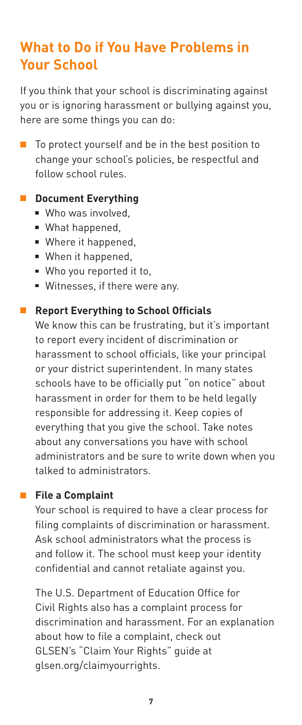# **What to Do if You Have Problems in Your School**

If you think that your school is discriminating against you or is ignoring harassment or bullying against you, here are some things you can do:

■ To protect yourself and be in the best position to change your school's policies, be respectful and follow school rules.

### **E** Document Everything

- **Who was involved.**
- What happened,
- Where it happened,
- When it happened.
- Who you reported it to,
- Witnesses, if there were any.

### ■ Report Everything to School Officials

We know this can be frustrating, but it's important to report every incident of discrimination or harassment to school officials, like your principal or your district superintendent. In many states schools have to be officially put "on notice" about harassment in order for them to be held legally responsible for addressing it. Keep copies of everything that you give the school. Take notes about any conversations you have with school administrators and be sure to write down when you talked to administrators.

### **File a Complaint**

Your school is required to have a clear process for filing complaints of discrimination or harassment. Ask school administrators what the process is and follow it. The school must keep your identity confidential and cannot retaliate against you.

The U.S. Department of Education Office for Civil Rights also has a complaint process for discrimination and harassment. For an explanation about how to file a complaint, check out GLSEN's "Claim Your Rights" guide at glsen.org/claimyourrights.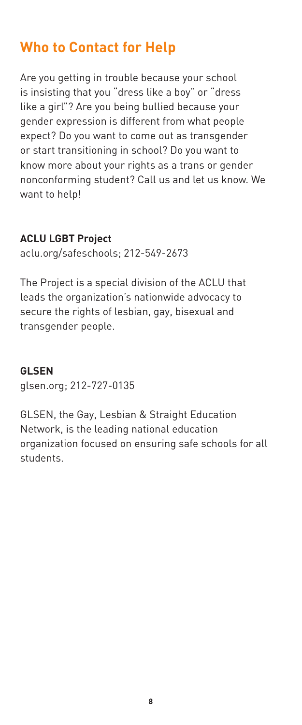# **Who to Contact for Help**

Are you getting in trouble because your school is insisting that you "dress like a boy" or "dress like a girl"? Are you being bullied because your gender expression is different from what people expect? Do you want to come out as transgender or start transitioning in school? Do you want to know more about your rights as a trans or gender nonconforming student? Call us and let us know. We want to help!

### **ACLU LGBT Project**

aclu.org/safeschools; 212-549-2673

The Project is a special division of the ACLU that leads the organization's nationwide advocacy to secure the rights of lesbian, gay, bisexual and transgender people.

### **GLSEN**

glsen.org; 212-727-0135

GLSEN, the Gay, Lesbian & Straight Education Network, is the leading national education organization focused on ensuring safe schools for all students.